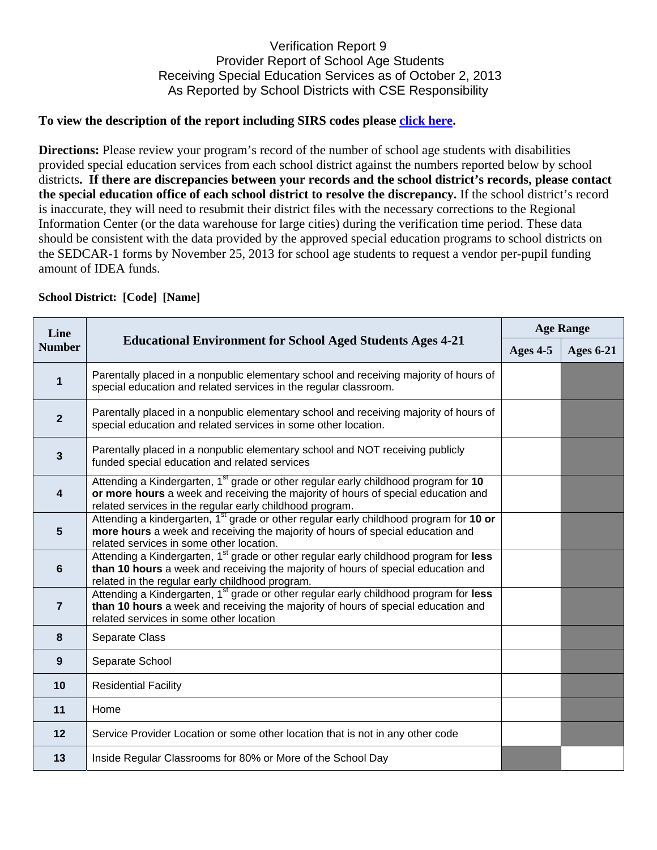## Verification Report 9 Provider Report of School Age Students Receiving Special Education Services as of October 2, 2013 As Reported by School Districts with CSE Responsibility

## **To view the description of the report including SIRS codes please click here.**

**Directions:** Please review your program's record of the number of school age students with disabilities provided special education services from each school district against the numbers reported below by school districts**. If there are discrepancies between your records and the school district's records, please contact the special education office of each school district to resolve the discrepancy.** If the school district's record is inaccurate, they will need to resubmit their district files with the necessary corrections to the Regional Information Center (or the data warehouse for large cities) during the verification time period. These data should be consistent with the data provided by the approved special education programs to school districts on the SEDCAR-1 forms by November 25, 2013 for school age students to request a vendor per-pupil funding amount of IDEA funds.

## **School District: [Code] [Name]**

| Line<br><b>Number</b>   | <b>Educational Environment for School Aged Students Ages 4-21</b>                                                                                                                                                                                | <b>Age Range</b> |                  |
|-------------------------|--------------------------------------------------------------------------------------------------------------------------------------------------------------------------------------------------------------------------------------------------|------------------|------------------|
|                         |                                                                                                                                                                                                                                                  | Ages 4-5         | <b>Ages 6-21</b> |
| 1                       | Parentally placed in a nonpublic elementary school and receiving majority of hours of<br>special education and related services in the regular classroom.                                                                                        |                  |                  |
| $\overline{2}$          | Parentally placed in a nonpublic elementary school and receiving majority of hours of<br>special education and related services in some other location.                                                                                          |                  |                  |
| $\mathbf{3}$            | Parentally placed in a nonpublic elementary school and NOT receiving publicly<br>funded special education and related services                                                                                                                   |                  |                  |
| $\overline{\mathbf{4}}$ | Attending a Kindergarten, 1 <sup>st</sup> grade or other regular early childhood program for 10<br>or more hours a week and receiving the majority of hours of special education and<br>related services in the regular early childhood program. |                  |                  |
| $5\phantom{1}$          | Attending a kindergarten, 1 <sup>st</sup> grade or other regular early childhood program for 10 or<br>more hours a week and receiving the majority of hours of special education and<br>related services in some other location.                 |                  |                  |
| 6                       | Attending a Kindergarten, 1 <sup>st</sup> grade or other regular early childhood program for less<br>than 10 hours a week and receiving the majority of hours of special education and<br>related in the regular early childhood program.        |                  |                  |
| $\overline{7}$          | Attending a Kindergarten, 1 <sup>st</sup> grade or other regular early childhood program for less<br>than 10 hours a week and receiving the majority of hours of special education and<br>related services in some other location                |                  |                  |
| 8                       | Separate Class                                                                                                                                                                                                                                   |                  |                  |
| 9                       | Separate School                                                                                                                                                                                                                                  |                  |                  |
| 10                      | <b>Residential Facility</b>                                                                                                                                                                                                                      |                  |                  |
| 11                      | Home                                                                                                                                                                                                                                             |                  |                  |
| 12                      | Service Provider Location or some other location that is not in any other code                                                                                                                                                                   |                  |                  |
| 13                      | Inside Regular Classrooms for 80% or More of the School Day                                                                                                                                                                                      |                  |                  |